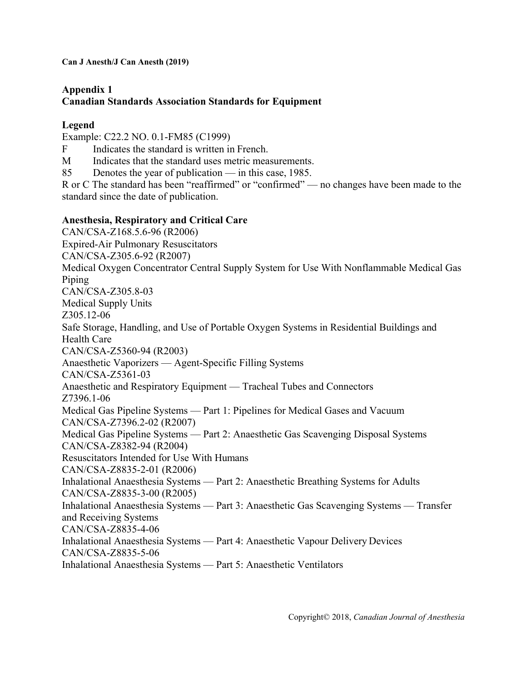**Can J Anesth/J Can Anesth (2019)** 

# **Appendix 1 Canadian Standards Association Standards for Equipment**

## **Legend**

Example: C22.2 NO. 0.1-FM85 (C1999)

- F Indicates the standard is written in French.
- M Indicates that the standard uses metric measurements.
- 85 Denotes the year of publication in this case, 1985.

R or C The standard has been "reaffirmed" or "confirmed" — no changes have been made to the standard since the date of publication.

### **Anesthesia, Respiratory and Critical Care**

CAN/CSA-Z168.5.6-96 (R2006) Expired-Air Pulmonary Resuscitators CAN/CSA-Z305.6-92 (R2007) Medical Oxygen Concentrator Central Supply System for Use With Nonflammable Medical Gas Piping CAN/CSA-Z305.8-03 Medical Supply Units Z305.12-06 Safe Storage, Handling, and Use of Portable Oxygen Systems in Residential Buildings and Health Care CAN/CSA-Z5360-94 (R2003) Anaesthetic Vaporizers — Agent-Specific Filling Systems CAN/CSA-Z5361-03 Anaesthetic and Respiratory Equipment — Tracheal Tubes and Connectors Z7396.1-06 Medical Gas Pipeline Systems — Part 1: Pipelines for Medical Gases and Vacuum CAN/CSA-Z7396.2-02 (R2007) Medical Gas Pipeline Systems — Part 2: Anaesthetic Gas Scavenging Disposal Systems CAN/CSA-Z8382-94 (R2004) Resuscitators Intended for Use With Humans CAN/CSA-Z8835-2-01 (R2006) Inhalational Anaesthesia Systems — Part 2: Anaesthetic Breathing Systems for Adults CAN/CSA-Z8835-3-00 (R2005) Inhalational Anaesthesia Systems — Part 3: Anaesthetic Gas Scavenging Systems — Transfer and Receiving Systems CAN/CSA-Z8835-4-06 Inhalational Anaesthesia Systems — Part 4: Anaesthetic Vapour Delivery Devices CAN/CSA-Z8835-5-06 Inhalational Anaesthesia Systems — Part 5: Anaesthetic Ventilators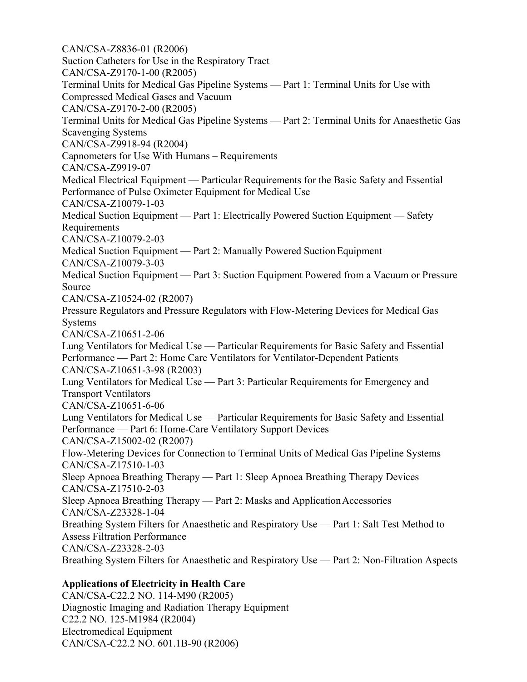CAN/CSA-Z8836-01 (R2006) Suction Catheters for Use in the Respiratory Tract CAN/CSA-Z9170-1-00 (R2005) Terminal Units for Medical Gas Pipeline Systems — Part 1: Terminal Units for Use with Compressed Medical Gases and Vacuum CAN/CSA-Z9170-2-00 (R2005) Terminal Units for Medical Gas Pipeline Systems — Part 2: Terminal Units for Anaesthetic Gas Scavenging Systems CAN/CSA-Z9918-94 (R2004) Capnometers for Use With Humans – Requirements CAN/CSA-Z9919-07 Medical Electrical Equipment — Particular Requirements for the Basic Safety and Essential Performance of Pulse Oximeter Equipment for Medical Use CAN/CSA-Z10079-1-03 Medical Suction Equipment — Part 1: Electrically Powered Suction Equipment — Safety Requirements CAN/CSA-Z10079-2-03 Medical Suction Equipment — Part 2: Manually Powered Suction Equipment CAN/CSA-Z10079-3-03 Medical Suction Equipment — Part 3: Suction Equipment Powered from a Vacuum or Pressure Source CAN/CSA-Z10524-02 (R2007) Pressure Regulators and Pressure Regulators with Flow-Metering Devices for Medical Gas Systems CAN/CSA-Z10651-2-06 Lung Ventilators for Medical Use — Particular Requirements for Basic Safety and Essential Performance — Part 2: Home Care Ventilators for Ventilator-Dependent Patients CAN/CSA-Z10651-3-98 (R2003) Lung Ventilators for Medical Use — Part 3: Particular Requirements for Emergency and Transport Ventilators CAN/CSA-Z10651-6-06 Lung Ventilators for Medical Use — Particular Requirements for Basic Safety and Essential Performance — Part 6: Home-Care Ventilatory Support Devices CAN/CSA-Z15002-02 (R2007) Flow-Metering Devices for Connection to Terminal Units of Medical Gas Pipeline Systems CAN/CSA-Z17510-1-03 Sleep Apnoea Breathing Therapy — Part 1: Sleep Apnoea Breathing Therapy Devices CAN/CSA-Z17510-2-03 Sleep Apnoea Breathing Therapy — Part 2: Masks and Application Accessories CAN/CSA-Z23328-1-04 Breathing System Filters for Anaesthetic and Respiratory Use — Part 1: Salt Test Method to Assess Filtration Performance CAN/CSA-Z23328-2-03 Breathing System Filters for Anaesthetic and Respiratory Use — Part 2: Non-Filtration Aspects

#### **Applications of Electricity in Health Care**

CAN/CSA-C22.2 NO. 114-M90 (R2005) Diagnostic Imaging and Radiation Therapy Equipment C22.2 NO. 125-M1984 (R2004) Electromedical Equipment CAN/CSA-C22.2 NO. 601.1B-90 (R2006)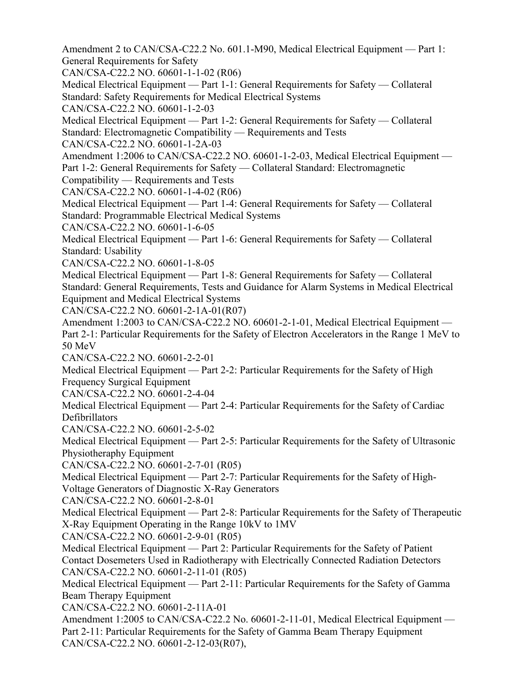Amendment 2 to CAN/CSA-C22.2 No. 601.1-M90, Medical Electrical Equipment — Part 1: General Requirements for Safety CAN/CSA-C22.2 NO. 60601-1-1-02 (R06) Medical Electrical Equipment — Part 1-1: General Requirements for Safety — Collateral Standard: Safety Requirements for Medical Electrical Systems CAN/CSA-C22.2 NO. 60601-1-2-03 Medical Electrical Equipment — Part 1-2: General Requirements for Safety — Collateral Standard: Electromagnetic Compatibility — Requirements and Tests CAN/CSA-C22.2 NO. 60601-1-2A-03 Amendment 1:2006 to CAN/CSA-C22.2 NO. 60601-1-2-03, Medical Electrical Equipment — Part 1-2: General Requirements for Safety — Collateral Standard: Electromagnetic Compatibility — Requirements and Tests CAN/CSA-C22.2 NO. 60601-1-4-02 (R06) Medical Electrical Equipment — Part 1-4: General Requirements for Safety — Collateral Standard: Programmable Electrical Medical Systems CAN/CSA-C22.2 NO. 60601-1-6-05 Medical Electrical Equipment — Part 1-6: General Requirements for Safety — Collateral Standard: Usability CAN/CSA-C22.2 NO. 60601-1-8-05 Medical Electrical Equipment — Part 1-8: General Requirements for Safety — Collateral Standard: General Requirements, Tests and Guidance for Alarm Systems in Medical Electrical Equipment and Medical Electrical Systems CAN/CSA-C22.2 NO. 60601-2-1A-01(R07) Amendment 1:2003 to CAN/CSA-C22.2 NO. 60601-2-1-01, Medical Electrical Equipment — Part 2-1: Particular Requirements for the Safety of Electron Accelerators in the Range 1 MeV to 50 MeV CAN/CSA-C22.2 NO. 60601-2-2-01 Medical Electrical Equipment — Part 2-2: Particular Requirements for the Safety of High Frequency Surgical Equipment CAN/CSA-C22.2 NO. 60601-2-4-04 Medical Electrical Equipment — Part 2-4: Particular Requirements for the Safety of Cardiac Defibrillators CAN/CSA-C22.2 NO. 60601-2-5-02 Medical Electrical Equipment — Part 2-5: Particular Requirements for the Safety of Ultrasonic Physiotheraphy Equipment CAN/CSA-C22.2 NO. 60601-2-7-01 (R05) Medical Electrical Equipment — Part 2-7: Particular Requirements for the Safety of High-Voltage Generators of Diagnostic X-Ray Generators CAN/CSA-C22.2 NO. 60601-2-8-01 Medical Electrical Equipment — Part 2-8: Particular Requirements for the Safety of Therapeutic X-Ray Equipment Operating in the Range 10kV to 1MV CAN/CSA-C22.2 NO. 60601-2-9-01 (R05) Medical Electrical Equipment — Part 2: Particular Requirements for the Safety of Patient Contact Dosemeters Used in Radiotherapy with Electrically Connected Radiation Detectors CAN/CSA-C22.2 NO. 60601-2-11-01 (R05) Medical Electrical Equipment — Part 2-11: Particular Requirements for the Safety of Gamma Beam Therapy Equipment CAN/CSA-C22.2 NO. 60601-2-11A-01 Amendment 1:2005 to CAN/CSA-C22.2 No. 60601-2-11-01, Medical Electrical Equipment — Part 2-11: Particular Requirements for the Safety of Gamma Beam Therapy Equipment CAN/CSA-C22.2 NO. 60601-2-12-03(R07),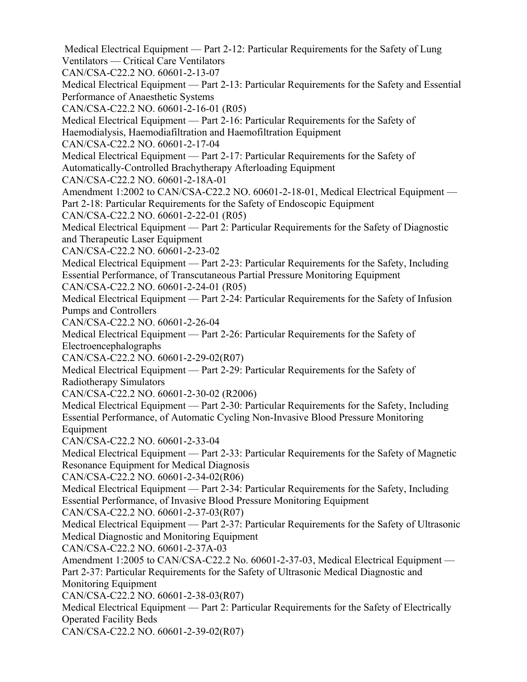Medical Electrical Equipment — Part 2-12: Particular Requirements for the Safety of Lung Ventilators — Critical Care Ventilators CAN/CSA-C22.2 NO. 60601-2-13-07 Medical Electrical Equipment — Part 2-13: Particular Requirements for the Safety and Essential Performance of Anaesthetic Systems CAN/CSA-C22.2 NO. 60601-2-16-01 (R05) Medical Electrical Equipment — Part 2-16: Particular Requirements for the Safety of Haemodialysis, Haemodiafiltration and Haemofiltration Equipment CAN/CSA-C22.2 NO. 60601-2-17-04 Medical Electrical Equipment — Part 2-17: Particular Requirements for the Safety of Automatically-Controlled Brachytherapy Afterloading Equipment CAN/CSA-C22.2 NO. 60601-2-18A-01 Amendment 1:2002 to CAN/CSA-C22.2 NO. 60601-2-18-01, Medical Electrical Equipment — Part 2-18: Particular Requirements for the Safety of Endoscopic Equipment CAN/CSA-C22.2 NO. 60601-2-22-01 (R05) Medical Electrical Equipment — Part 2: Particular Requirements for the Safety of Diagnostic and Therapeutic Laser Equipment CAN/CSA-C22.2 NO. 60601-2-23-02 Medical Electrical Equipment — Part 2-23: Particular Requirements for the Safety, Including Essential Performance, of Transcutaneous Partial Pressure Monitoring Equipment CAN/CSA-C22.2 NO. 60601-2-24-01 (R05) Medical Electrical Equipment — Part 2-24: Particular Requirements for the Safety of Infusion Pumps and Controllers CAN/CSA-C22.2 NO. 60601-2-26-04 Medical Electrical Equipment — Part 2-26: Particular Requirements for the Safety of Electroencephalographs CAN/CSA-C22.2 NO. 60601-2-29-02(R07) Medical Electrical Equipment — Part 2-29: Particular Requirements for the Safety of Radiotherapy Simulators CAN/CSA-C22.2 NO. 60601-2-30-02 (R2006) Medical Electrical Equipment — Part 2-30: Particular Requirements for the Safety, Including Essential Performance, of Automatic Cycling Non-Invasive Blood Pressure Monitoring Equipment CAN/CSA-C22.2 NO. 60601-2-33-04 Medical Electrical Equipment — Part 2-33: Particular Requirements for the Safety of Magnetic Resonance Equipment for Medical Diagnosis CAN/CSA-C22.2 NO. 60601-2-34-02(R06)

Medical Electrical Equipment — Part 2-34: Particular Requirements for the Safety, Including Essential Performance, of Invasive Blood Pressure Monitoring Equipment

CAN/CSA-C22.2 NO. 60601-2-37-03(R07)

Medical Electrical Equipment — Part 2-37: Particular Requirements for the Safety of Ultrasonic Medical Diagnostic and Monitoring Equipment

CAN/CSA-C22.2 NO. 60601-2-37A-03

Amendment 1:2005 to CAN/CSA-C22.2 No. 60601-2-37-03, Medical Electrical Equipment — Part 2-37: Particular Requirements for the Safety of Ultrasonic Medical Diagnostic and Monitoring Equipment

CAN/CSA-C22.2 NO. 60601-2-38-03(R07)

Medical Electrical Equipment — Part 2: Particular Requirements for the Safety of Electrically Operated Facility Beds

CAN/CSA-C22.2 NO. 60601-2-39-02(R07)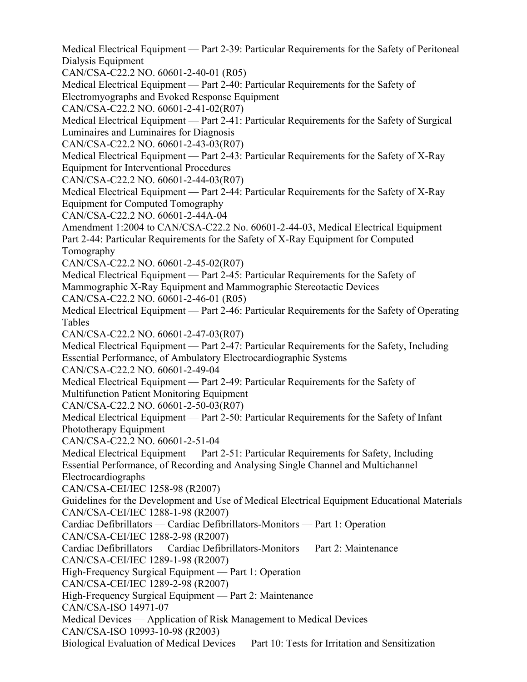Medical Electrical Equipment — Part 2-39: Particular Requirements for the Safety of Peritoneal Dialysis Equipment

CAN/CSA-C22.2 NO. 60601-2-40-01 (R05)

Medical Electrical Equipment — Part 2-40: Particular Requirements for the Safety of Electromyographs and Evoked Response Equipment

CAN/CSA-C22.2 NO. 60601-2-41-02(R07)

Medical Electrical Equipment — Part 2-41: Particular Requirements for the Safety of Surgical Luminaires and Luminaires for Diagnosis

CAN/CSA-C22.2 NO. 60601-2-43-03(R07)

Medical Electrical Equipment — Part 2-43: Particular Requirements for the Safety of X-Ray Equipment for Interventional Procedures

CAN/CSA-C22.2 NO. 60601-2-44-03(R07)

Medical Electrical Equipment — Part 2-44: Particular Requirements for the Safety of X-Ray Equipment for Computed Tomography

CAN/CSA-C22.2 NO. 60601-2-44A-04

Amendment 1:2004 to CAN/CSA-C22.2 No. 60601-2-44-03, Medical Electrical Equipment — Part 2-44: Particular Requirements for the Safety of X-Ray Equipment for Computed Tomography

CAN/CSA-C22.2 NO. 60601-2-45-02(R07)

Medical Electrical Equipment — Part 2-45: Particular Requirements for the Safety of Mammographic X-Ray Equipment and Mammographic Stereotactic Devices

CAN/CSA-C22.2 NO. 60601-2-46-01 (R05)

Medical Electrical Equipment — Part 2-46: Particular Requirements for the Safety of Operating Tables

CAN/CSA-C22.2 NO. 60601-2-47-03(R07)

Medical Electrical Equipment — Part 2-47: Particular Requirements for the Safety, Including Essential Performance, of Ambulatory Electrocardiographic Systems

CAN/CSA-C22.2 NO. 60601-2-49-04

Medical Electrical Equipment — Part 2-49: Particular Requirements for the Safety of Multifunction Patient Monitoring Equipment

CAN/CSA-C22.2 NO. 60601-2-50-03(R07)

Medical Electrical Equipment — Part 2-50: Particular Requirements for the Safety of Infant Phototherapy Equipment

CAN/CSA-C22.2 NO. 60601-2-51-04

Medical Electrical Equipment — Part 2-51: Particular Requirements for Safety, Including Essential Performance, of Recording and Analysing Single Channel and Multichannel

Electrocardiographs

CAN/CSA-CEI/IEC 1258-98 (R2007)

Guidelines for the Development and Use of Medical Electrical Equipment Educational Materials CAN/CSA-CEI/IEC 1288-1-98 (R2007)

Cardiac Defibrillators — Cardiac Defibrillators-Monitors — Part 1: Operation CAN/CSA-CEI/IEC 1288-2-98 (R2007)

Cardiac Defibrillators — Cardiac Defibrillators-Monitors — Part 2: Maintenance

CAN/CSA-CEI/IEC 1289-1-98 (R2007)

High-Frequency Surgical Equipment — Part 1: Operation

CAN/CSA-CEI/IEC 1289-2-98 (R2007)

High-Frequency Surgical Equipment — Part 2: Maintenance

CAN/CSA-ISO 14971-07

Medical Devices — Application of Risk Management to Medical Devices

CAN/CSA-ISO 10993-10-98 (R2003)

Biological Evaluation of Medical Devices — Part 10: Tests for Irritation and Sensitization